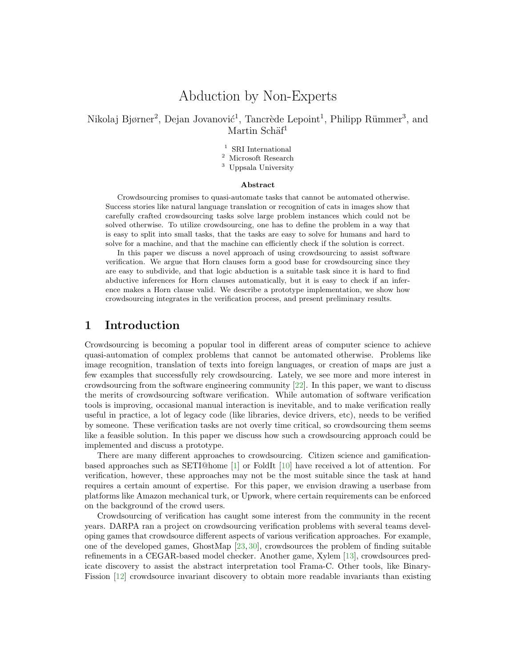# Abduction by Non-Experts

Nikolaj Bjørner<sup>2</sup>, Dejan Jovanović<sup>1</sup>, Tancrède Lepoint<sup>1</sup>, Philipp Rümmer<sup>3</sup>, and Martin Schäf<sup>1</sup>

- $^{\rm 1}$  SRI International
- <sup>2</sup> Microsoft Research
- <sup>3</sup> Uppsala University

#### Abstract

Crowdsourcing promises to quasi-automate tasks that cannot be automated otherwise. Success stories like natural language translation or recognition of cats in images show that carefully crafted crowdsourcing tasks solve large problem instances which could not be solved otherwise. To utilize crowdsourcing, one has to define the problem in a way that is easy to split into small tasks, that the tasks are easy to solve for humans and hard to solve for a machine, and that the machine can efficiently check if the solution is correct.

In this paper we discuss a novel approach of using crowdsourcing to assist software verification. We argue that Horn clauses form a good base for crowdsourcing since they are easy to subdivide, and that logic abduction is a suitable task since it is hard to find abductive inferences for Horn clauses automatically, but it is easy to check if an inference makes a Horn clause valid. We describe a prototype implementation, we show how crowdsourcing integrates in the verification process, and present preliminary results.

### 1 Introduction

Crowdsourcing is becoming a popular tool in different areas of computer science to achieve quasi-automation of complex problems that cannot be automated otherwise. Problems like image recognition, translation of texts into foreign languages, or creation of maps are just a few examples that successfully rely crowdsourcing. Lately, we see more and more interest in crowdsourcing from the software engineering community [\[22\]](#page-13-0). In this paper, we want to discuss the merits of crowdsourcing software verification. While automation of software verification tools is improving, occasional manual interaction is inevitable, and to make verification really useful in practice, a lot of legacy code (like libraries, device drivers, etc), needs to be verified by someone. These verification tasks are not overly time critical, so crowdsourcing them seems like a feasible solution. In this paper we discuss how such a crowdsourcing approach could be implemented and discuss a prototype.

There are many different approaches to crowdsourcing. Citizen science and gamificationbased approaches such as SETI@home [\[1\]](#page-12-0) or FoldIt [\[10\]](#page-12-1) have received a lot of attention. For verification, however, these approaches may not be the most suitable since the task at hand requires a certain amount of expertise. For this paper, we envision drawing a userbase from platforms like Amazon mechanical turk, or Upwork, where certain requirements can be enforced on the background of the crowd users.

Crowdsourcing of verification has caught some interest from the community in the recent years. DARPA ran a project on crowdsourcing verification problems with several teams developing games that crowdsource different aspects of various verification approaches. For example, one of the developed games, GhostMap [\[23,](#page-13-1) [30\]](#page-14-0), crowdsources the problem of finding suitable refinements in a CEGAR-based model checker. Another game, Xylem [\[13\]](#page-13-2), crowdsources predicate discovery to assist the abstract interpretation tool Frama-C. Other tools, like Binary-Fission [\[12\]](#page-12-2) crowdsource invariant discovery to obtain more readable invariants than existing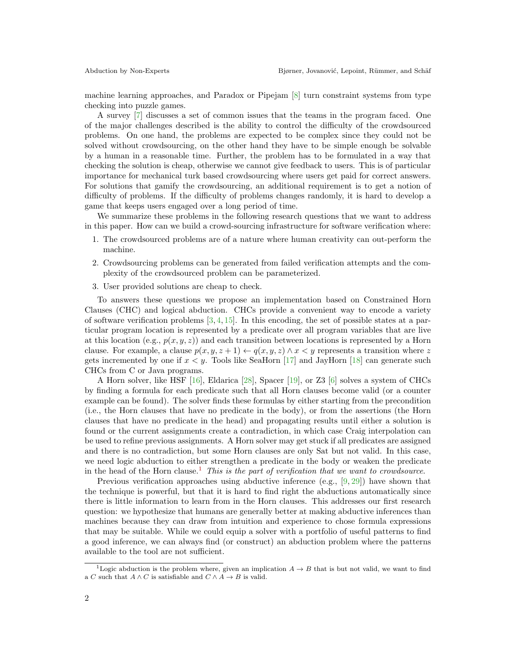machine learning approaches, and Paradox or Pipejam [\[8\]](#page-12-3) turn constraint systems from type checking into puzzle games.

A survey [\[7\]](#page-12-4) discusses a set of common issues that the teams in the program faced. One of the major challenges described is the ability to control the difficulty of the crowdsourced problems. On one hand, the problems are expected to be complex since they could not be solved without crowdsourcing, on the other hand they have to be simple enough be solvable by a human in a reasonable time. Further, the problem has to be formulated in a way that checking the solution is cheap, otherwise we cannot give feedback to users. This is of particular importance for mechanical turk based crowdsourcing where users get paid for correct answers. For solutions that gamify the crowdsourcing, an additional requirement is to get a notion of difficulty of problems. If the difficulty of problems changes randomly, it is hard to develop a game that keeps users engaged over a long period of time.

We summarize these problems in the following research questions that we want to address in this paper. How can we build a crowd-sourcing infrastructure for software verification where:

- 1. The crowdsourced problems are of a nature where human creativity can out-perform the machine.
- 2. Crowdsourcing problems can be generated from failed verification attempts and the complexity of the crowdsourced problem can be parameterized.
- 3. User provided solutions are cheap to check.

To answers these questions we propose an implementation based on Constrained Horn Clauses (CHC) and logical abduction. CHCs provide a convenient way to encode a variety of software verification problems  $[3, 4, 15]$  $[3, 4, 15]$  $[3, 4, 15]$  $[3, 4, 15]$  $[3, 4, 15]$ . In this encoding, the set of possible states at a particular program location is represented by a predicate over all program variables that are live at this location (e.g.,  $p(x, y, z)$ ) and each transition between locations is represented by a Horn clause. For example, a clause  $p(x, y, z + 1) \leftarrow q(x, y, z) \land x \leq y$  represents a transition where z gets incremented by one if  $x < y$ . Tools like SeaHorn [\[17\]](#page-13-4) and JayHorn [\[18\]](#page-13-5) can generate such CHCs from C or Java programs.

A Horn solver, like HSF [\[16\]](#page-13-6), Eldarica [\[28\]](#page-13-7), Spacer [\[19\]](#page-13-8), or Z3 [\[6\]](#page-12-7) solves a system of CHCs by finding a formula for each predicate such that all Horn clauses become valid (or a counter example can be found). The solver finds these formulas by either starting from the precondition (i.e., the Horn clauses that have no predicate in the body), or from the assertions (the Horn clauses that have no predicate in the head) and propagating results until either a solution is found or the current assignments create a contradiction, in which case Craig interpolation can be used to refine previous assignments. A Horn solver may get stuck if all predicates are assigned and there is no contradiction, but some Horn clauses are only Sat but not valid. In this case, we need logic abduction to either strengthen a predicate in the body or weaken the predicate in the head of the Horn clause.<sup>[1](#page-1-0)</sup> This is the part of verification that we want to crowdsource.

Previous verification approaches using abductive inference (e.g., [\[9,](#page-12-8) [29\]](#page-13-9)) have shown that the technique is powerful, but that it is hard to find right the abductions automatically since there is little information to learn from in the Horn clauses. This addresses our first research question: we hypothesize that humans are generally better at making abductive inferences than machines because they can draw from intuition and experience to chose formula expressions that may be suitable. While we could equip a solver with a portfolio of useful patterns to find a good inference, we can always find (or construct) an abduction problem where the patterns available to the tool are not sufficient.

<span id="page-1-0"></span><sup>&</sup>lt;sup>1</sup>Logic abduction is the problem where, given an implication  $A \rightarrow B$  that is but not valid, we want to find a  $C$  such that  $A \wedge C$  is satisfiable and  $C \wedge A \rightarrow B$  is valid.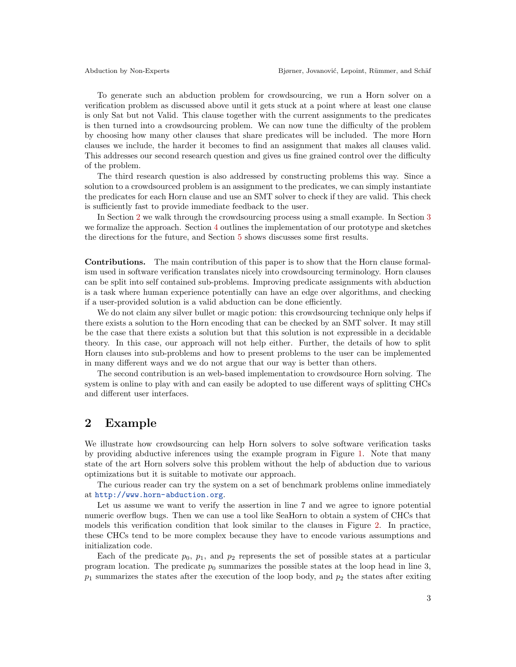To generate such an abduction problem for crowdsourcing, we run a Horn solver on a verification problem as discussed above until it gets stuck at a point where at least one clause is only Sat but not Valid. This clause together with the current assignments to the predicates is then turned into a crowdsourcing problem. We can now tune the difficulty of the problem by choosing how many other clauses that share predicates will be included. The more Horn clauses we include, the harder it becomes to find an assignment that makes all clauses valid. This addresses our second research question and gives us fine grained control over the difficulty of the problem.

The third research question is also addressed by constructing problems this way. Since a solution to a crowdsourced problem is an assignment to the predicates, we can simply instantiate the predicates for each Horn clause and use an SMT solver to check if they are valid. This check is sufficiently fast to provide immediate feedback to the user.

In Section [2](#page-2-0) we walk through the crowdsourcing process using a small example. In Section [3](#page-4-0) we formalize the approach. Section [4](#page-7-0) outlines the implementation of our prototype and sketches the directions for the future, and Section [5](#page-8-0) shows discusses some first results.

Contributions. The main contribution of this paper is to show that the Horn clause formalism used in software verification translates nicely into crowdsourcing terminology. Horn clauses can be split into self contained sub-problems. Improving predicate assignments with abduction is a task where human experience potentially can have an edge over algorithms, and checking if a user-provided solution is a valid abduction can be done efficiently.

We do not claim any silver bullet or magic potion: this crowdsourcing technique only helps if there exists a solution to the Horn encoding that can be checked by an SMT solver. It may still be the case that there exists a solution but that this solution is not expressible in a decidable theory. In this case, our approach will not help either. Further, the details of how to split Horn clauses into sub-problems and how to present problems to the user can be implemented in many different ways and we do not argue that our way is better than others.

The second contribution is an web-based implementation to crowdsource Horn solving. The system is online to play with and can easily be adopted to use different ways of splitting CHCs and different user interfaces.

### <span id="page-2-0"></span>2 Example

We illustrate how crowdsourcing can help Horn solvers to solve software verification tasks by providing abductive inferences using the example program in Figure [1.](#page-3-0) Note that many state of the art Horn solvers solve this problem without the help of abduction due to various optimizations but it is suitable to motivate our approach.

The curious reader can try the system on a set of benchmark problems online immediately at <http://www.horn-abduction.org>.

Let us assume we want to verify the assertion in line 7 and we agree to ignore potential numeric overflow bugs. Then we can use a tool like SeaHorn to obtain a system of CHCs that models this verification condition that look similar to the clauses in Figure [2.](#page-3-1) In practice, these CHCs tend to be more complex because they have to encode various assumptions and initialization code.

Each of the predicate  $p_0$ ,  $p_1$ , and  $p_2$  represents the set of possible states at a particular program location. The predicate  $p_0$  summarizes the possible states at the loop head in line 3,  $p_1$  summarizes the states after the execution of the loop body, and  $p_2$  the states after exiting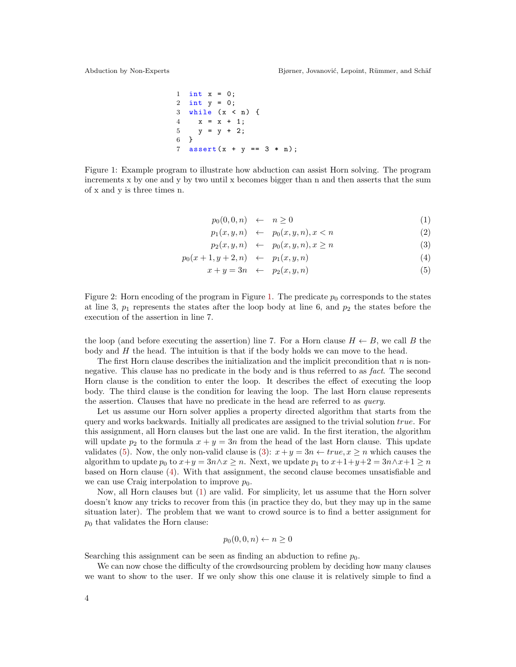1 int x = 0; 2 int y = 0; 3 while ( x < n ) { 4 x = x + 1; 5 y = y + 2; 6 } 7 assert ( x + y == 3 \* n ) ;

<span id="page-3-0"></span>Figure 1: Example program to illustrate how abduction can assist Horn solving. The program increments x by one and y by two until x becomes bigger than n and then asserts that the sum of x and y is three times n.

<span id="page-3-2"></span>
$$
p_0(0,0,n) \quad \leftarrow \quad n \ge 0 \tag{1}
$$

$$
p_1(x, y, n) \leftarrow p_0(x, y, n), x < n \tag{2}
$$

$$
p_2(x, y, n) \leftarrow p_0(x, y, n), x \ge n \tag{3}
$$

$$
p_0(x+1, y+2, n) \leftarrow p_1(x, y, n) \tag{4}
$$

$$
x + y = 3n \quad \leftarrow \quad p_2(x, y, n) \tag{5}
$$

<span id="page-3-1"></span>Figure 2: Horn encoding of the program in Figure [1.](#page-3-0) The predicate  $p_0$  corresponds to the states at line 3,  $p_1$  represents the states after the loop body at line 6, and  $p_2$  the states before the execution of the assertion in line 7.

the loop (and before executing the assertion) line 7. For a Horn clause  $H \leftarrow B$ , we call B the body and  $H$  the head. The intuition is that if the body holds we can move to the head.

The first Horn clause describes the initialization and the implicit precondition that  $n$  is nonnegative. This clause has no predicate in the body and is thus referred to as fact. The second Horn clause is the condition to enter the loop. It describes the effect of executing the loop body. The third clause is the condition for leaving the loop. The last Horn clause represents the assertion. Clauses that have no predicate in the head are referred to as query.

Let us assume our Horn solver applies a property directed algorithm that starts from the query and works backwards. Initially all predicates are assigned to the trivial solution true. For this assignment, all Horn clauses but the last one are valid. In the first iteration, the algorithm will update  $p_2$  to the formula  $x + y = 3n$  from the head of the last Horn clause. This update validates [\(5\)](#page-3-2). Now, the only non-valid clause is [\(3\)](#page-3-2):  $x + y = 3n \leftarrow true, x \ge n$  which causes the algorithm to update  $p_0$  to  $x+y=3n \land x \geq n$ . Next, we update  $p_1$  to  $x+1+y+2=3n \land x+1 \geq n$ based on Horn clause [\(4\)](#page-3-2). With that assignment, the second clause becomes unsatisfiable and we can use Craig interpolation to improve  $p_0$ .

Now, all Horn clauses but [\(1\)](#page-3-2) are valid. For simplicity, let us assume that the Horn solver doesn't know any tricks to recover from this (in practice they do, but they may up in the same situation later). The problem that we want to crowd source is to find a better assignment for  $p_0$  that validates the Horn clause:

$$
p_0(0,0,n) \leftarrow n \ge 0
$$

Searching this assignment can be seen as finding an abduction to refine  $p_0$ .

We can now chose the difficulty of the crowdsourcing problem by deciding how many clauses we want to show to the user. If we only show this one clause it is relatively simple to find a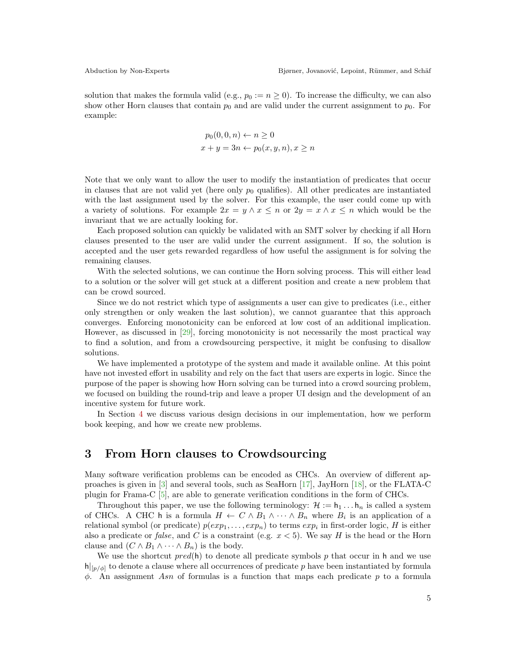solution that makes the formula valid (e.g.,  $p_0 := n \geq 0$ ). To increase the difficulty, we can also show other Horn clauses that contain  $p_0$  and are valid under the current assignment to  $p_0$ . For example:

$$
p_0(0,0,n) \leftarrow n \ge 0
$$
  

$$
x + y = 3n \leftarrow p_0(x, y, n), x \ge n
$$

Note that we only want to allow the user to modify the instantiation of predicates that occur in clauses that are not valid yet (here only  $p_0$  qualifies). All other predicates are instantiated with the last assignment used by the solver. For this example, the user could come up with a variety of solutions. For example  $2x = y \wedge x \leq n$  or  $2y = x \wedge x \leq n$  which would be the invariant that we are actually looking for.

Each proposed solution can quickly be validated with an SMT solver by checking if all Horn clauses presented to the user are valid under the current assignment. If so, the solution is accepted and the user gets rewarded regardless of how useful the assignment is for solving the remaining clauses.

With the selected solutions, we can continue the Horn solving process. This will either lead to a solution or the solver will get stuck at a different position and create a new problem that can be crowd sourced.

Since we do not restrict which type of assignments a user can give to predicates (i.e., either only strengthen or only weaken the last solution), we cannot guarantee that this approach converges. Enforcing monotonicity can be enforced at low cost of an additional implication. However, as discussed in [\[29\]](#page-13-9), forcing monotonicity is not necessarily the most practical way to find a solution, and from a crowdsourcing perspective, it might be confusing to disallow solutions.

We have implemented a prototype of the system and made it available online. At this point have not invested effort in usability and rely on the fact that users are experts in logic. Since the purpose of the paper is showing how Horn solving can be turned into a crowd sourcing problem, we focused on building the round-trip and leave a proper UI design and the development of an incentive system for future work.

In Section [4](#page-7-0) we discuss various design decisions in our implementation, how we perform book keeping, and how we create new problems.

#### <span id="page-4-0"></span>3 From Horn clauses to Crowdsourcing

Many software verification problems can be encoded as CHCs. An overview of different approaches is given in [\[3\]](#page-12-5) and several tools, such as SeaHorn [\[17\]](#page-13-4), JayHorn [\[18\]](#page-13-5), or the FLATA-C plugin for Frama-C [\[5\]](#page-12-9), are able to generate verification conditions in the form of CHCs.

Throughout this paper, we use the following terminology:  $\mathcal{H} := h_1 \dots h_n$  is called a system of CHCs. A CHC h is a formula  $H \leftarrow C \wedge B_1 \wedge \cdots \wedge B_n$  where  $B_i$  is an application of a relational symbol (or predicate)  $p(exp_1, \ldots, exp_n)$  to terms  $exp_i$  in first-order logic, H is either also a predicate or *false*, and C is a constraint (e.g.  $x < 5$ ). We say H is the head or the Horn clause and  $(C \wedge B_1 \wedge \cdots \wedge B_n)$  is the body.

We use the shortcut  $pred(h)$  to denote all predicate symbols p that occur in h and we use  $h|_{p/\phi}$  to denote a clause where all occurrences of predicate p have been instantiated by formula  $\phi$ . An assignment Asn of formulas is a function that maps each predicate p to a formula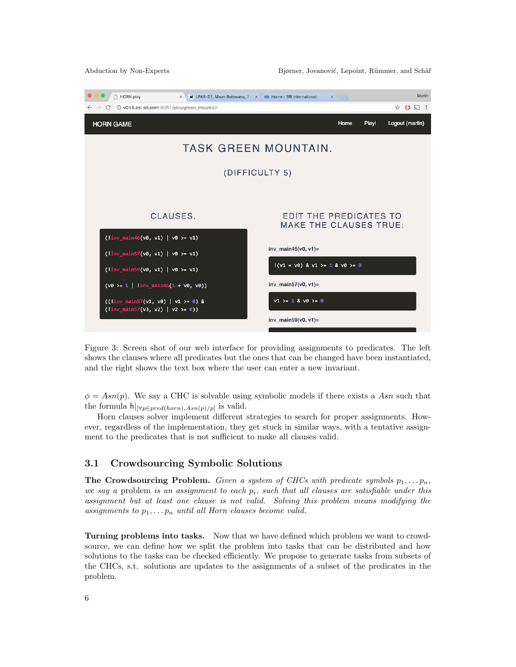

Figure 3: Screen shot of our web interface for providing assignments to predicates. The left shows the clauses where all predicates but the ones that can be changed have been instantiated, and the right shows the text box where the user can enter a new invariant.

 $\phi = Asn(p)$ . We say a CHC is solvable using symbolic models if there exists a Asn such that the formula  $h|_{[\forall p \in pred(horn), Asn(p)/p]}$  is valid.

Horn clauses solver implement different strategies to search for proper assignments. However, regardless of the implementation, they get stuck in similar ways, with a tentative assignment to the predicates that is not sufficient to make all clauses valid.

#### 3.1 Crowdsourcing Symbolic Solutions

The Crowdsourcing Problem. Given a system of CHCs with predicate symbols  $p_1, \ldots, p_n$ , we say a problem is an assignment to each  $p_i$ , such that all clauses are satisfiable under this assignment but at least one clause is not valid. Solving this problem means modifying the assignments to  $p_1, \ldots, p_n$  until all Horn clauses become valid.

<span id="page-5-0"></span>Turning problems into tasks. Now that we have defined which problem we want to crowdsource, we can define how we split the problem into tasks that can be distributed and how solutions to the tasks can be checked efficiently. We propose to generate tasks from subsets of the CHCs, s.t. solutions are updates to the assignments of a subset of the predicates in the problem.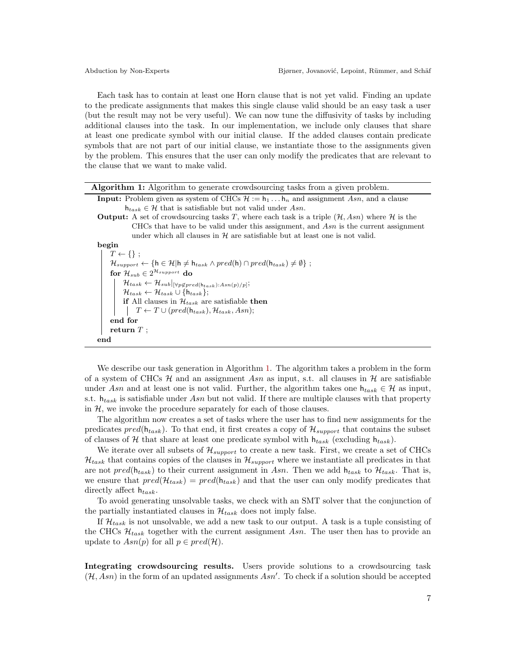Each task has to contain at least one Horn clause that is not yet valid. Finding an update to the predicate assignments that makes this single clause valid should be an easy task a user (but the result may not be very useful). We can now tune the diffusivity of tasks by including additional clauses into the task. In our implementation, we include only clauses that share at least one predicate symbol with our initial clause. If the added clauses contain predicate symbols that are not part of our initial clause, we instantiate those to the assignments given by the problem. This ensures that the user can only modify the predicates that are relevant to the clause that we want to make valid.

|  |  | Algorithm 1: Algorithm to generate crowdsourcing tasks from a given problem. |  |  |  |  |  |
|--|--|------------------------------------------------------------------------------|--|--|--|--|--|
|  |  |                                                                              |  |  |  |  |  |

- **Input:** Problem given as system of CHCs  $\mathcal{H} := \mathbf{h}_1 \dots \mathbf{h}_n$  and assignment Asn, and a clause  $h_{task} \in \mathcal{H}$  that is satisfiable but not valid under Asn.
- **Output:** A set of crowdsourcing tasks T, where each task is a triple  $(\mathcal{H}, Asn)$  where  $\mathcal{H}$  is the CHCs that have to be valid under this assignment, and  $Asn$  is the current assignment under which all clauses in  $H$  are satisfiable but at least one is not valid.

begin

```
T \leftarrow \{\};
       \mathcal{H}_{support} \leftarrow \{\mathsf{h} \in \mathcal{H} | \mathsf{h} \neq \mathsf{h}_{task} \land pred(\mathsf{h}) \cap pred(\mathsf{h}_{task}) \neq \emptyset\};for \mathcal{H}_{sub} \in 2^{\mathcal{H}_{support}} do
                \mathcal{H}_{task} \leftarrow \mathcal{H}_{sub}|_{[\forall p \notin pred(\mathsf{h}_{task}):Asn(p)/p]};\mathcal{H}_{task} \leftarrow \mathcal{H}_{task} \cup \{\mathsf{h}_{task}\};if All clauses in \mathcal{H}_{task} are satisfiable then
                 \vert T \leftarrow T \cup (pred(h_{task}), H_{task}, Asn);end for
       return T;
end
```
<span id="page-6-0"></span>We describe our task generation in Algorithm [1.](#page-6-0) The algorithm takes a problem in the form of a system of CHCs  $H$  and an assignment Asn as input, s.t. all clauses in  $H$  are satisfiable under Asn and at least one is not valid. Further, the algorithm takes one  $h_{task} \in \mathcal{H}$  as input, s.t.  $h_{task}$  is satisfiable under Asn but not valid. If there are multiple clauses with that property in  $H$ , we invoke the procedure separately for each of those clauses.

The algorithm now creates a set of tasks where the user has to find new assignments for the predicates  $pred(h_{task})$ . To that end, it first creates a copy of  $\mathcal{H}_{support}$  that contains the subset of clauses of H that share at least one predicate symbol with  $h_{task}$  (excluding  $h_{task})$ .

We iterate over all subsets of  $\mathcal{H}_{support}$  to create a new task. First, we create a set of CHCs  $\mathcal{H}_{task}$  that contains copies of the clauses in  $\mathcal{H}_{support}$  where we instantiate all predicates in that are not  $pred(h_{task})$  to their current assignment in Asn. Then we add  $h_{task}$  to  $\mathcal{H}_{task}$ . That is, we ensure that  $pred(\mathcal{H}_{task}) = pred(h_{task})$  and that the user can only modify predicates that directly affect  $h_{task}$ .

To avoid generating unsolvable tasks, we check with an SMT solver that the conjunction of the partially instantiated clauses in  $\mathcal{H}_{task}$  does not imply false.

If  $\mathcal{H}_{task}$  is not unsolvable, we add a new task to our output. A task is a tuple consisting of the CHCs  $\mathcal{H}_{task}$  together with the current assignment Asn. The user then has to provide an update to  $Asn(p)$  for all  $p \in pred(\mathcal{H})$ .

Integrating crowdsourcing results. Users provide solutions to a crowdsourcing task  $(H, Asn)$  in the form of an updated assignments Asn'. To check if a solution should be accepted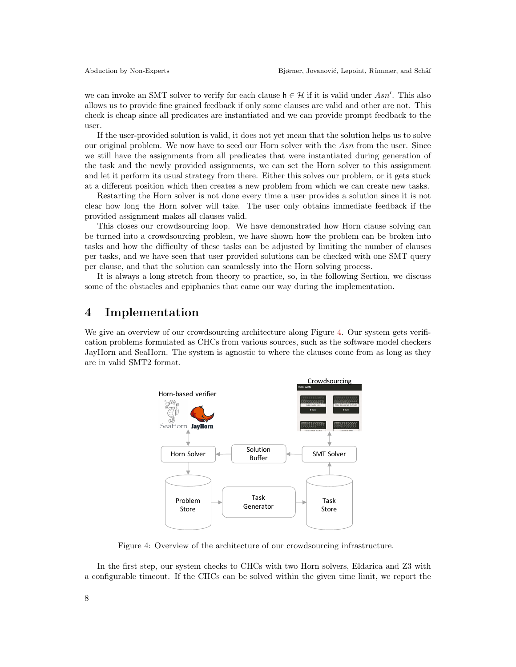we can invoke an SMT solver to verify for each clause  $h \in \mathcal{H}$  if it is valid under Asn'. This also allows us to provide fine grained feedback if only some clauses are valid and other are not. This check is cheap since all predicates are instantiated and we can provide prompt feedback to the user.

If the user-provided solution is valid, it does not yet mean that the solution helps us to solve our original problem. We now have to seed our Horn solver with the Asn from the user. Since we still have the assignments from all predicates that were instantiated during generation of the task and the newly provided assignments, we can set the Horn solver to this assignment and let it perform its usual strategy from there. Either this solves our problem, or it gets stuck at a different position which then creates a new problem from which we can create new tasks.

Restarting the Horn solver is not done every time a user provides a solution since it is not clear how long the Horn solver will take. The user only obtains immediate feedback if the provided assignment makes all clauses valid.

This closes our crowdsourcing loop. We have demonstrated how Horn clause solving can be turned into a crowdsourcing problem, we have shown how the problem can be broken into tasks and how the difficulty of these tasks can be adjusted by limiting the number of clauses per tasks, and we have seen that user provided solutions can be checked with one SMT query per clause, and that the solution can seamlessly into the Horn solving process.

It is always a long stretch from theory to practice, so, in the following Section, we discuss some of the obstacles and epiphanies that came our way during the implementation.

### <span id="page-7-0"></span>4 Implementation

We give an overview of our crowdsourcing architecture along Figure [4.](#page-7-1) Our system gets verification problems formulated as CHCs from various sources, such as the software model checkers JayHorn and SeaHorn. The system is agnostic to where the clauses come from as long as they are in valid SMT2 format.



<span id="page-7-1"></span>Figure 4: Overview of the architecture of our crowdsourcing infrastructure.

In the first step, our system checks to CHCs with two Horn solvers, Eldarica and Z3 with a configurable timeout. If the CHCs can be solved within the given time limit, we report the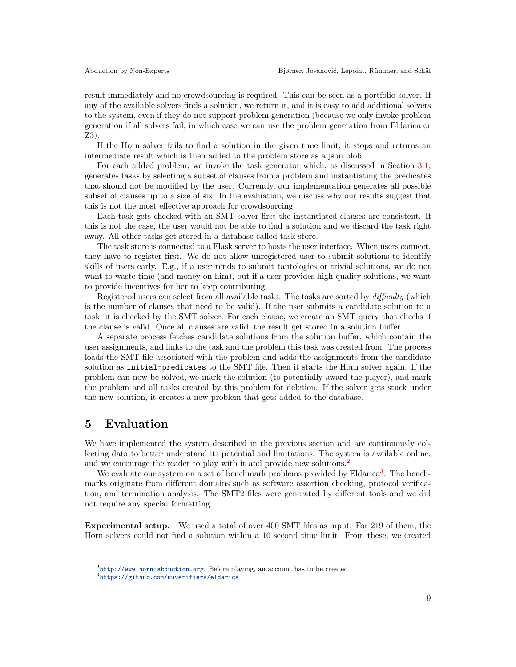result immediately and no crowdsourcing is required. This can be seen as a portfolio solver. If any of the available solvers finds a solution, we return it, and it is easy to add additional solvers to the system, even if they do not support problem generation (because we only invoke problem generation if all solvers fail, in which case we can use the problem generation from Eldarica or Z3).

If the Horn solver fails to find a solution in the given time limit, it stops and returns an intermediate result which is then added to the problem store as a json blob.

For each added problem, we invoke the task generator which, as discussed in Section [3.1,](#page-5-0) generates tasks by selecting a subset of clauses from a problem and instantiating the predicates that should not be modified by the user. Currently, our implementation generates all possible subset of clauses up to a size of six. In the evaluation, we discuss why our results suggest that this is not the most effective approach for crowdsourcing.

Each task gets checked with an SMT solver first the instantiated clauses are consistent. If this is not the case, the user would not be able to find a solution and we discard the task right away. All other tasks get stored in a database called task store.

The task store is connected to a Flask server to hosts the user interface. When users connect, they have to register first. We do not allow unregistered user to submit solutions to identify skills of users early. E.g., if a user tends to submit tautologies or trivial solutions, we do not want to waste time (and money on him), but if a user provides high quality solutions, we want to provide incentives for her to keep contributing.

Registered users can select from all available tasks. The tasks are sorted by *difficulty* (which is the number of clauses that need to be valid). If the user submits a candidate solution to a task, it is checked by the SMT solver. For each clause, we create an SMT query that checks if the clause is valid. Once all clauses are valid, the result get stored in a solution buffer.

A separate process fetches candidate solutions from the solution buffer, which contain the user assignments, and links to the task and the problem this task was created from. The process loads the SMT file associated with the problem and adds the assignments from the candidate solution as initial-predicates to the SMT file. Then it starts the Horn solver again. If the problem can now be solved, we mark the solution (to potentially award the player), and mark the problem and all tasks created by this problem for deletion. If the solver gets stuck under the new solution, it creates a new problem that gets added to the database.

#### <span id="page-8-0"></span>5 Evaluation

We have implemented the system described in the previous section and are continuously collecting data to better understand its potential and limitations. The system is available online, and we encourage the reader to play with it and provide new solutions.<sup>[2](#page-8-1)</sup>

We evaluate our system on a set of benchmark problems provided by Eldarica<sup>[3](#page-8-2)</sup>. The benchmarks originate from different domains such as software assertion checking, protocol verification, and termination analysis. The SMT2 files were generated by different tools and we did not require any special formatting.

Experimental setup. We used a total of over 400 SMT files as input. For 219 of them, the Horn solvers could not find a solution within a 10 second time limit. From these, we created

<span id="page-8-1"></span><sup>2</sup><http://www.horn-abduction.org>. Before playing, an account has to be created.

<span id="page-8-2"></span><sup>3</sup><https://github.com/uuverifiers/eldarica>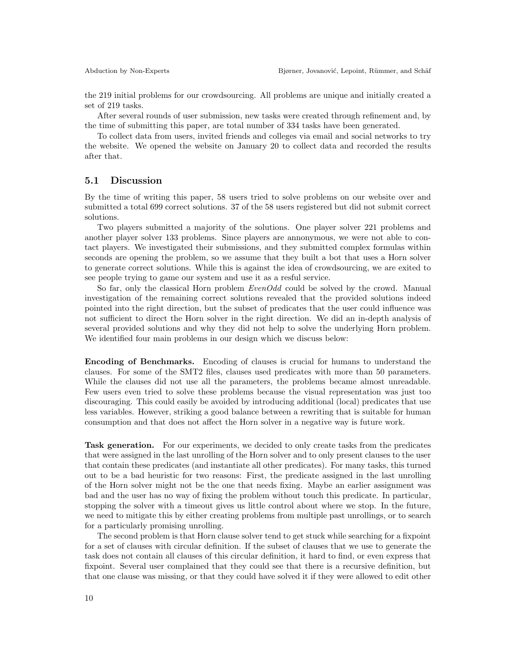the 219 initial problems for our crowdsourcing. All problems are unique and initially created a set of 219 tasks.

After several rounds of user submission, new tasks were created through refinement and, by the time of submitting this paper, are total number of 334 tasks have been generated.

To collect data from users, invited friends and colleges via email and social networks to try the website. We opened the website on January 20 to collect data and recorded the results after that.

#### 5.1 Discussion

By the time of writing this paper, 58 users tried to solve problems on our website over and submitted a total 699 correct solutions. 37 of the 58 users registered but did not submit correct solutions.

Two players submitted a majority of the solutions. One player solver 221 problems and another player solver 133 problems. Since players are annonymous, we were not able to contact players. We investigated their submissions, and they submitted complex formulas within seconds are opening the problem, so we assume that they built a bot that uses a Horn solver to generate correct solutions. While this is against the idea of crowdsourcing, we are exited to see people trying to game our system and use it as a resful service.

So far, only the classical Horn problem  $EvenOdd$  could be solved by the crowd. Manual investigation of the remaining correct solutions revealed that the provided solutions indeed pointed into the right direction, but the subset of predicates that the user could influence was not sufficient to direct the Horn solver in the right direction. We did an in-depth analysis of several provided solutions and why they did not help to solve the underlying Horn problem. We identified four main problems in our design which we discuss below:

Encoding of Benchmarks. Encoding of clauses is crucial for humans to understand the clauses. For some of the SMT2 files, clauses used predicates with more than 50 parameters. While the clauses did not use all the parameters, the problems became almost unreadable. Few users even tried to solve these problems because the visual representation was just too discouraging. This could easily be avoided by introducing additional (local) predicates that use less variables. However, striking a good balance between a rewriting that is suitable for human consumption and that does not affect the Horn solver in a negative way is future work.

Task generation. For our experiments, we decided to only create tasks from the predicates that were assigned in the last unrolling of the Horn solver and to only present clauses to the user that contain these predicates (and instantiate all other predicates). For many tasks, this turned out to be a bad heuristic for two reasons: First, the predicate assigned in the last unrolling of the Horn solver might not be the one that needs fixing. Maybe an earlier assignment was bad and the user has no way of fixing the problem without touch this predicate. In particular, stopping the solver with a timeout gives us little control about where we stop. In the future, we need to mitigate this by either creating problems from multiple past unrollings, or to search for a particularly promising unrolling.

The second problem is that Horn clause solver tend to get stuck while searching for a fixpoint for a set of clauses with circular definition. If the subset of clauses that we use to generate the task does not contain all clauses of this circular definition, it hard to find, or even express that fixpoint. Several user complained that they could see that there is a recursive definition, but that one clause was missing, or that they could have solved it if they were allowed to edit other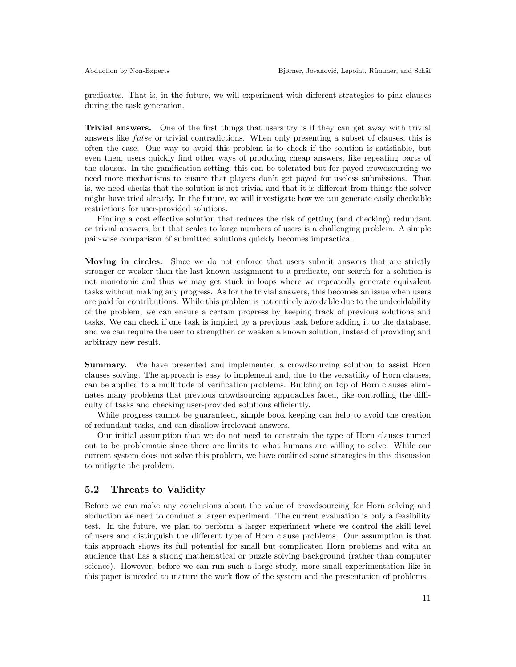predicates. That is, in the future, we will experiment with different strategies to pick clauses during the task generation.

Trivial answers. One of the first things that users try is if they can get away with trivial answers like *false* or trivial contradictions. When only presenting a subset of clauses, this is often the case. One way to avoid this problem is to check if the solution is satisfiable, but even then, users quickly find other ways of producing cheap answers, like repeating parts of the clauses. In the gamification setting, this can be tolerated but for payed crowdsourcing we need more mechanisms to ensure that players don't get payed for useless submissions. That is, we need checks that the solution is not trivial and that it is different from things the solver might have tried already. In the future, we will investigate how we can generate easily checkable restrictions for user-provided solutions.

Finding a cost effective solution that reduces the risk of getting (and checking) redundant or trivial answers, but that scales to large numbers of users is a challenging problem. A simple pair-wise comparison of submitted solutions quickly becomes impractical.

Moving in circles. Since we do not enforce that users submit answers that are strictly stronger or weaker than the last known assignment to a predicate, our search for a solution is not monotonic and thus we may get stuck in loops where we repeatedly generate equivalent tasks without making any progress. As for the trivial answers, this becomes an issue when users are paid for contributions. While this problem is not entirely avoidable due to the undecidability of the problem, we can ensure a certain progress by keeping track of previous solutions and tasks. We can check if one task is implied by a previous task before adding it to the database, and we can require the user to strengthen or weaken a known solution, instead of providing and arbitrary new result.

Summary. We have presented and implemented a crowdsourcing solution to assist Horn clauses solving. The approach is easy to implement and, due to the versatility of Horn clauses, can be applied to a multitude of verification problems. Building on top of Horn clauses eliminates many problems that previous crowdsourcing approaches faced, like controlling the difficulty of tasks and checking user-provided solutions efficiently.

While progress cannot be guaranteed, simple book keeping can help to avoid the creation of redundant tasks, and can disallow irrelevant answers.

Our initial assumption that we do not need to constrain the type of Horn clauses turned out to be problematic since there are limits to what humans are willing to solve. While our current system does not solve this problem, we have outlined some strategies in this discussion to mitigate the problem.

#### 5.2 Threats to Validity

Before we can make any conclusions about the value of crowdsourcing for Horn solving and abduction we need to conduct a larger experiment. The current evaluation is only a feasibility test. In the future, we plan to perform a larger experiment where we control the skill level of users and distinguish the different type of Horn clause problems. Our assumption is that this approach shows its full potential for small but complicated Horn problems and with an audience that has a strong mathematical or puzzle solving background (rather than computer science). However, before we can run such a large study, more small experimentation like in this paper is needed to mature the work flow of the system and the presentation of problems.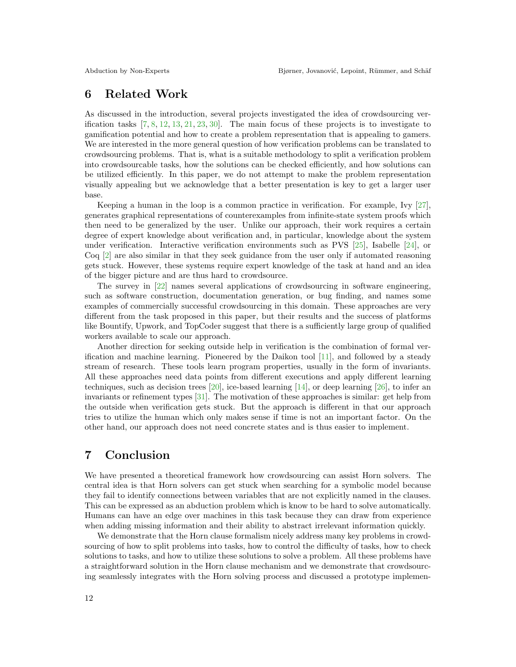## 6 Related Work

As discussed in the introduction, several projects investigated the idea of crowdsourcing verification tasks  $[7, 8, 12, 13, 21, 23, 30]$  $[7, 8, 12, 13, 21, 23, 30]$  $[7, 8, 12, 13, 21, 23, 30]$  $[7, 8, 12, 13, 21, 23, 30]$  $[7, 8, 12, 13, 21, 23, 30]$  $[7, 8, 12, 13, 21, 23, 30]$  $[7, 8, 12, 13, 21, 23, 30]$  $[7, 8, 12, 13, 21, 23, 30]$  $[7, 8, 12, 13, 21, 23, 30]$  $[7, 8, 12, 13, 21, 23, 30]$  $[7, 8, 12, 13, 21, 23, 30]$  $[7, 8, 12, 13, 21, 23, 30]$  $[7, 8, 12, 13, 21, 23, 30]$ . The main focus of these projects is to investigate to gamification potential and how to create a problem representation that is appealing to gamers. We are interested in the more general question of how verification problems can be translated to crowdsourcing problems. That is, what is a suitable methodology to split a verification problem into crowdsourcable tasks, how the solutions can be checked efficiently, and how solutions can be utilized efficiently. In this paper, we do not attempt to make the problem representation visually appealing but we acknowledge that a better presentation is key to get a larger user base.

Keeping a human in the loop is a common practice in verification. For example, Ivy [\[27\]](#page-13-11), generates graphical representations of counterexamples from infinite-state system proofs which then need to be generalized by the user. Unlike our approach, their work requires a certain degree of expert knowledge about verification and, in particular, knowledge about the system under verification. Interactive verification environments such as PVS  $[25]$ , Isabelle  $[24]$ , or Coq [\[2\]](#page-12-10) are also similar in that they seek guidance from the user only if automated reasoning gets stuck. However, these systems require expert knowledge of the task at hand and an idea of the bigger picture and are thus hard to crowdsource.

The survey in [\[22\]](#page-13-0) names several applications of crowdsourcing in software engineering, such as software construction, documentation generation, or bug finding, and names some examples of commercially successful crowdsourcing in this domain. These approaches are very different from the task proposed in this paper, but their results and the success of platforms like Bountify, Upwork, and TopCoder suggest that there is a sufficiently large group of qualified workers available to scale our approach.

Another direction for seeking outside help in verification is the combination of formal verification and machine learning. Pioneered by the Daikon tool [\[11\]](#page-12-11), and followed by a steady stream of research. These tools learn program properties, usually in the form of invariants. All these approaches need data points from different executions and apply different learning techniques, such as decision trees [\[20\]](#page-13-14), ice-based learning [\[14\]](#page-13-15), or deep learning [\[26\]](#page-13-16), to infer an invariants or refinement types [\[31\]](#page-14-1). The motivation of these approaches is similar: get help from the outside when verification gets stuck. But the approach is different in that our approach tries to utilize the human which only makes sense if time is not an important factor. On the other hand, our approach does not need concrete states and is thus easier to implement.

# 7 Conclusion

We have presented a theoretical framework how crowdsourcing can assist Horn solvers. The central idea is that Horn solvers can get stuck when searching for a symbolic model because they fail to identify connections between variables that are not explicitly named in the clauses. This can be expressed as an abduction problem which is know to be hard to solve automatically. Humans can have an edge over machines in this task because they can draw from experience when adding missing information and their ability to abstract irrelevant information quickly.

We demonstrate that the Horn clause formalism nicely address many key problems in crowdsourcing of how to split problems into tasks, how to control the difficulty of tasks, how to check solutions to tasks, and how to utilize these solutions to solve a problem. All these problems have a straightforward solution in the Horn clause mechanism and we demonstrate that crowdsourcing seamlessly integrates with the Horn solving process and discussed a prototype implemen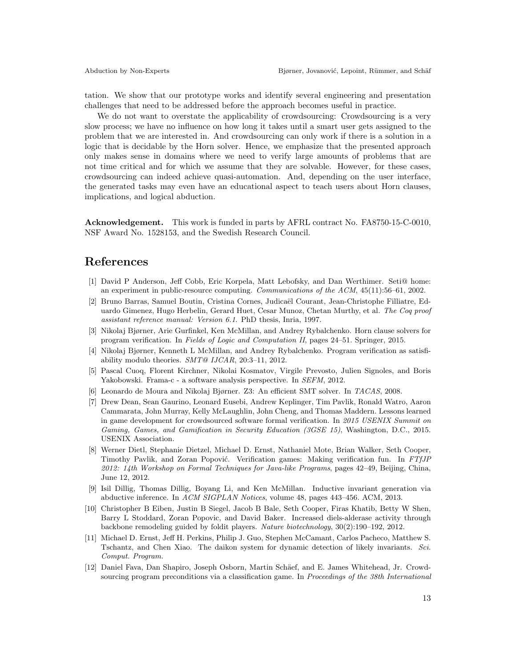tation. We show that our prototype works and identify several engineering and presentation challenges that need to be addressed before the approach becomes useful in practice.

We do not want to overstate the applicability of crowdsourcing: Crowdsourcing is a very slow process; we have no influence on how long it takes until a smart user gets assigned to the problem that we are interested in. And crowdsourcing can only work if there is a solution in a logic that is decidable by the Horn solver. Hence, we emphasize that the presented approach only makes sense in domains where we need to verify large amounts of problems that are not time critical and for which we assume that they are solvable. However, for these cases, crowdsourcing can indeed achieve quasi-automation. And, depending on the user interface, the generated tasks may even have an educational aspect to teach users about Horn clauses, implications, and logical abduction.

Acknowledgement. This work is funded in parts by AFRL contract No. FA8750-15-C-0010, NSF Award No. 1528153, and the Swedish Research Council.

### References

- <span id="page-12-0"></span>[1] David P Anderson, Jeff Cobb, Eric Korpela, Matt Lebofsky, and Dan Werthimer. Seti@ home: an experiment in public-resource computing. Communications of the ACM, 45(11):56–61, 2002.
- <span id="page-12-10"></span>[2] Bruno Barras, Samuel Boutin, Cristina Cornes, Judicaël Courant, Jean-Christophe Filliatre, Eduardo Gimenez, Hugo Herbelin, Gerard Huet, Cesar Munoz, Chetan Murthy, et al. The Coq proof assistant reference manual: Version 6.1. PhD thesis, Inria, 1997.
- <span id="page-12-5"></span>[3] Nikolaj Bjørner, Arie Gurfinkel, Ken McMillan, and Andrey Rybalchenko. Horn clause solvers for program verification. In Fields of Logic and Computation II, pages 24–51. Springer, 2015.
- <span id="page-12-6"></span>[4] Nikolaj Bjørner, Kenneth L McMillan, and Andrey Rybalchenko. Program verification as satisfiability modulo theories.  $SMT@$  IJCAR, 20:3-11, 2012.
- <span id="page-12-9"></span>[5] Pascal Cuoq, Florent Kirchner, Nikolai Kosmatov, Virgile Prevosto, Julien Signoles, and Boris Yakobowski. Frama-c - a software analysis perspective. In SEFM, 2012.
- <span id="page-12-7"></span>[6] Leonardo de Moura and Nikolaj Bjørner. Z3: An efficient SMT solver. In TACAS, 2008.
- <span id="page-12-4"></span>[7] Drew Dean, Sean Gaurino, Leonard Eusebi, Andrew Keplinger, Tim Pavlik, Ronald Watro, Aaron Cammarata, John Murray, Kelly McLaughlin, John Cheng, and Thomas Maddern. Lessons learned in game development for crowdsourced software formal verification. In 2015 USENIX Summit on Gaming, Games, and Gamification in Security Education (3GSE 15), Washington, D.C., 2015. USENIX Association.
- <span id="page-12-3"></span>[8] Werner Dietl, Stephanie Dietzel, Michael D. Ernst, Nathaniel Mote, Brian Walker, Seth Cooper, Timothy Pavlik, and Zoran Popović. Verification games: Making verification fun. In FTfJP 2012: 14th Workshop on Formal Techniques for Java-like Programs, pages 42–49, Beijing, China, June 12, 2012.
- <span id="page-12-8"></span>[9] Isil Dillig, Thomas Dillig, Boyang Li, and Ken McMillan. Inductive invariant generation via abductive inference. In ACM SIGPLAN Notices, volume 48, pages 443–456. ACM, 2013.
- <span id="page-12-1"></span>[10] Christopher B Eiben, Justin B Siegel, Jacob B Bale, Seth Cooper, Firas Khatib, Betty W Shen, Barry L Stoddard, Zoran Popovic, and David Baker. Increased diels-alderase activity through backbone remodeling guided by foldit players. Nature biotechnology, 30(2):190–192, 2012.
- <span id="page-12-11"></span>[11] Michael D. Ernst, Jeff H. Perkins, Philip J. Guo, Stephen McCamant, Carlos Pacheco, Matthew S. Tschantz, and Chen Xiao. The daikon system for dynamic detection of likely invariants. Sci. Comput. Program.
- <span id="page-12-2"></span>[12] Daniel Fava, Dan Shapiro, Joseph Osborn, Martin Schäef, and E. James Whitehead, Jr. Crowdsourcing program preconditions via a classification game. In *Proceedings of the 38th International*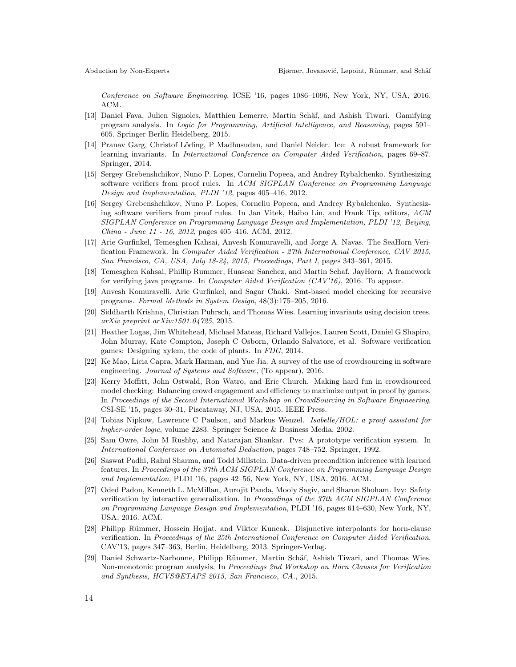Conference on Software Engineering, ICSE '16, pages 1086–1096, New York, NY, USA, 2016. ACM.

- <span id="page-13-2"></span>[13] Daniel Fava, Julien Signoles, Matthieu Lemerre, Martin Schäf, and Ashish Tiwari. Gamifying program analysis. In Logic for Programming, Artificial Intelligence, and Reasoning, pages 591– 605. Springer Berlin Heidelberg, 2015.
- <span id="page-13-15"></span>[14] Pranav Garg, Christof Löding, P Madhusudan, and Daniel Neider. Ice: A robust framework for learning invariants. In International Conference on Computer Aided Verification, pages 69–87. Springer, 2014.
- <span id="page-13-3"></span>[15] Sergey Grebenshchikov, Nuno P. Lopes, Corneliu Popeea, and Andrey Rybalchenko. Synthesizing software verifiers from proof rules. In ACM SIGPLAN Conference on Programming Language Design and Implementation, PLDI '12, pages 405–416, 2012.
- <span id="page-13-6"></span>[16] Sergey Grebenshchikov, Nuno P. Lopes, Corneliu Popeea, and Andrey Rybalchenko. Synthesizing software verifiers from proof rules. In Jan Vitek, Haibo Lin, and Frank Tip, editors, ACM SIGPLAN Conference on Programming Language Design and Implementation, PLDI '12, Beijing, China - June 11 - 16, 2012, pages 405–416. ACM, 2012.
- <span id="page-13-4"></span>[17] Arie Gurfinkel, Temesghen Kahsai, Anvesh Komuravelli, and Jorge A. Navas. The SeaHorn Verification Framework. In Computer Aided Verification - 27th International Conference, CAV 2015, San Francisco, CA, USA, July 18-24, 2015, Proceedings, Part I, pages 343–361, 2015.
- <span id="page-13-5"></span>[18] Temesghen Kahsai, Phillip Rummer, Huascar Sanchez, and Martin Schaf. JayHorn: A framework for verifying java programs. In *Computer Aided Verification (CAV'16)*, 2016. To appear.
- <span id="page-13-8"></span>[19] Anvesh Komuravelli, Arie Gurfinkel, and Sagar Chaki. Smt-based model checking for recursive programs. Formal Methods in System Design, 48(3):175–205, 2016.
- <span id="page-13-14"></span>[20] Siddharth Krishna, Christian Puhrsch, and Thomas Wies. Learning invariants using decision trees. arXiv preprint arXiv:1501.04725, 2015.
- <span id="page-13-10"></span>[21] Heather Logas, Jim Whitehead, Michael Mateas, Richard Vallejos, Lauren Scott, Daniel G Shapiro, John Murray, Kate Compton, Joseph C Osborn, Orlando Salvatore, et al. Software verification games: Designing xylem, the code of plants. In FDG, 2014.
- <span id="page-13-0"></span>[22] Ke Mao, Licia Capra, Mark Harman, and Yue Jia. A survey of the use of crowdsourcing in software engineering. Journal of Systems and Software, (To appear), 2016.
- <span id="page-13-1"></span>[23] Kerry Moffitt, John Ostwald, Ron Watro, and Eric Church. Making hard fun in crowdsourced model checking: Balancing crowd engagement and efficiency to maximize output in proof by games. In Proceedings of the Second International Workshop on CrowdSourcing in Software Engineering, CSI-SE '15, pages 30–31, Piscataway, NJ, USA, 2015. IEEE Press.
- <span id="page-13-13"></span>[24] Tobias Nipkow, Lawrence C Paulson, and Markus Wenzel. Isabelle/HOL: a proof assistant for higher-order logic, volume 2283. Springer Science & Business Media, 2002.
- <span id="page-13-12"></span>[25] Sam Owre, John M Rushby, and Natarajan Shankar. Pvs: A prototype verification system. In International Conference on Automated Deduction, pages 748–752. Springer, 1992.
- <span id="page-13-16"></span>[26] Saswat Padhi, Rahul Sharma, and Todd Millstein. Data-driven precondition inference with learned features. In Proceedings of the 37th ACM SIGPLAN Conference on Programming Language Design and Implementation, PLDI '16, pages 42–56, New York, NY, USA, 2016. ACM.
- <span id="page-13-11"></span>[27] Oded Padon, Kenneth L. McMillan, Aurojit Panda, Mooly Sagiv, and Sharon Shoham. Ivy: Safety verification by interactive generalization. In Proceedings of the 37th ACM SIGPLAN Conference on Programming Language Design and Implementation, PLDI '16, pages 614–630, New York, NY, USA, 2016. ACM.
- <span id="page-13-7"></span>[28] Philipp Rümmer, Hossein Hojjat, and Viktor Kuncak. Disjunctive interpolants for horn-clause verification. In Proceedings of the 25th International Conference on Computer Aided Verification, CAV'13, pages 347–363, Berlin, Heidelberg, 2013. Springer-Verlag.
- <span id="page-13-9"></span>[29] Daniel Schwartz-Narbonne, Philipp Rümmer, Martin Schäf, Ashish Tiwari, and Thomas Wies. Non-monotonic program analysis. In Proceedings 2nd Workshop on Horn Clauses for Verification and Synthesis, HCVS@ETAPS 2015, San Francisco, CA., 2015.